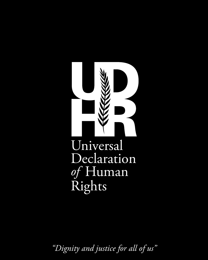

*"Dignity and justice for all of us"*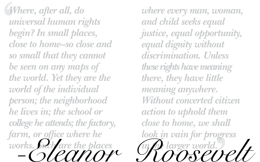**'** *Where, after all, do universal human rights begin? In small places, close to home–so close and so small that they cannot be seen on any maps of the world. Yet they are the world of the individual person; the neighborhood he lives in; the school or college he attends; the factory, farm, or office where he works. Such are the places*<br>-Cleanor Robert

**'** *where every man, woman, and child seeks equal justice, equal opportunity, equal dignity without discrimination. Unless these rights have meaning there, they have little meaning anywhere. Without concerted citizen action to uphold them close to home, we shall look in vain for progress in the larger world.*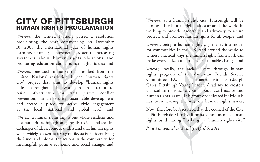## CITY OF PITTSBURGH HUMAN RIGHTS PROCLAMATION

*Whereas,* the United Nations passed a resolution proclaiming the year commencing on December 10, 2008 the international year of human rights learning, spurring a movement devoted to increasing awareness about human rights violations and promoting education about human rights issues; and,

*Whereas,* one such initiative that resulted from the United Nations' resolution is the "human rights city" project that aims to develop "human rights cities" throughout the world in an attempt to build infrastructure for racial justice, conflict prevention, human security, sustainable development, and create a place for active civic engagement at the local, national, and global level; and,

*Whereas,* a human rights city is one whose residents and local authorities, through on-going discussions and creative exchanges of ideas, come to understand that human rights, when widely known as a way of life, assist in identifying the issues and informs the actions in the community, for meaningful, positive economic and social change; and, *Whereas,* as a human rights city, Pittsburgh will be joining other human rights cities around the world in working to provide leadership and advocacy to secure, protect, and promote human rights for all people; and,

*Whereas,* being a human rights city makes it a model for communities in the U.S. And around the world to witness practical ways the human rights framework can make every citizen a partner of sustainable change; and,

*Wheras,* locally, the racial justice through human rights program of the American Friends Service Committee PA, has partnered with Pittsburgh Cares, Pittsburgh Young Leaders Academy to create a curriculum to educate youth about racial justice and human rights issues. This group of dedicated individuals has been leading the way on human rights issues;

Now, therefore be it resolved that the council of the City of Pittsburgh does hereby affirm its commitment to human rights by declaring Pittsburgh a "human rights city."

*Passed in council on Tuesday, April 6, 2011.*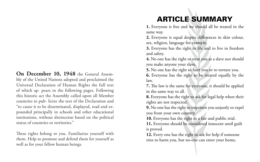**On December 10, 1948** the General Assembly of the United Nations adopted and proclaimed the Universal Declaration of Human Rights the full text of which ap- pears in the following pages. Following this historic act the Assembly called upon all Member countries to pub- licize the text of the Declaration and "to cause it to be disseminated, displayed, read and expounded principally in schools and other educational institutions, without distinction based on the political status of countries or territories." **6. December 10, 1948** the General Assem-

These rights belong to you. Familiarize yourself with them. Help to promote and defend them for yourself as well as for your fellow human beings. que se presuma su inocencia mientras no se pruebe su These rights

# ARTICLE SUMMARY

**1.** Everyone is free and we should all be treated in the same way.

**2.** Everyone is equal despite differences in skin colour, sex, religion, language for example.

**3.** Everyone has the right to life and to live in freedom and safety.

**4.** No one has the right to treat you as a slave nor should you make anyone your slave.

**5.** No one has the right to hurt you or to torture you.

**6.** Everyone has the right to be treated equally by the law.

**7.** The law is the same for everyone, it should be applied in the same way to all.

**8.** Everyone has the right to ask for legal help when their rights are not respected.

**9.** No one has the right to imprison you unjustly or expel you from your own country.

**10.** Everyone has the right to a fair and public trial.

**11.** Everyone should be considered innocent until guilt is proved.

**12.** Every one has the right to ask for help if someone tries to harm you, but no-one can enter your home,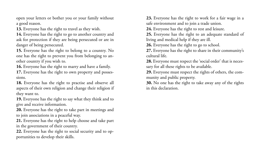open your letters or bother you or your family without<br>a good reason. a good reason.

**13.** Everyone has the right to travel as they wish.

14. Everyone has the right to go to another country and ask for protection if they are being persecuted or are in<br>danger of being persecuted. danger of being persecuted.

**15.** Everyone has the right to belong to a country. No one has the right to prevent you from belonging to another country if you wish to.

**16.** Everyone has the right to marry and have a family.

17. Everyone has the right to own property and possessions. **29. 29. 29. 29.** *29. 29. <i>29.* **<b>***29. <b><i>29.* 

18. Everyone has the right to practise and observe all aspects of their own religion and change their religion if they want to.

**19.** Everyone has the right to say what they think and to give and receive information.

**20.** Everyone has the right to take part in meetings and to join associations in a peaceful way.

**21.** Everyone has the right to help choose and take part in the government of their country.

**22.** Everyone has the right to social security and to opportunities to develop their skills.

**23.** Everyone has the right to work for a fair wage in a safe environment and to join a trade union.

**24.** Everyone has the right to rest and leisure.

**25.** Everyone has the right to an adequate standard of living and medical help if they are ill.

**26.** Everyone has the right to go to school.

**27.** Everyone has the right to share in their community's cultural life.

**28.** Everyone must respect the 'social order' that is necessary for all these rights to be available.

**29.** Everyone must respect the rights of others, the community and public property.

**30.** No one has the right to take away any of the rights in this declaration.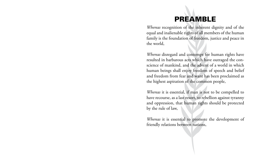# PREAMBLE

*Whereas* recognition of the inherent dignity and of the equal and inalienable rights of all members of the human family is the foundation of freedom, justice and peace in the world,

*Whereas* disregard and contempt for human rights have resulted in barbarous acts which have outraged the conscience of mankind, and the advent of a world in which human beings shall enjoy freedom of speech and belief and freedom from fear and want has been proclaimed as the highest aspiration of the common people,

*Whereas* it is essential, if man is not to be compelled to have recourse, as a last resort, to rebellion against tyranny and oppression, that human rights should be protected by the rule of law,

*Whereas* it is essential to promote the development of friendly relations between nations,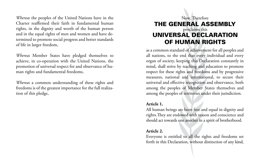*Whereas* the peoples of the United Nations have in the Charter reaffirmed their faith in fundamental human rights, in the dignity and worth of the human person and in the equal rights of men and women and have determined to promote social progress and better standards of life in larger freedom,

*Whereas* Member States have pledged themselves to achieve, in co-operation with the United Nations, the promotion of universal respect for and observance of human rights and fundamental freedoms,

*Whereas* a common understanding of these rights and freedoms is of the greatest importance for the full realization of this pledge,

## Now, Therefore THE GENERAL ASSEMBLY proclaims this UNIVERSAL DECLARATION OF HUMAN RIGHTS

as a common standard of achievement for all peoples and all nations, to the end that every individual and every organ of society, keeping this Declaration constantly in mind, shall strive by teaching and education to promote respect for these rights and freedoms and by progressive measures, national and international, to secure their universal and effective recognition and observance, both among the peoples of Member States themselves and among the peoples of territories under their jurisdiction.

#### **Article 1.**

All human beings are born free and equal in dignity and rights.They are endowed with reason and conscience and should act towards one another in a spirit of brotherhood.

## **Article 2.**

Everyone is entitled to all the rights and freedoms set forth in this Declaration, without distinction of any kind,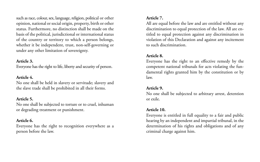such as race, colour, sex, language, religion, political or other opinion, national or social origin, property, birth or other status. Furthermore, no distinction shall be made on the basis of the political, jurisdictional or international status of the country or territory to which a person belongs, whether it be independent, trust, non-self-governing or under any other limitation of sovereignty.

#### **Article 3.**

Everyone has the right to life, liberty and security of person.

## **Article 4.**

No one shall be held in slavery or servitude; slavery and the slave trade shall be prohibited in all their forms.

## **Article 5.**

No one shall be subjected to torture or to cruel, inhuman or degrading treatment or punishment.

## **Article 6.**

Everyone has the right to recognition everywhere as a person before the law.

### **Article 7.**

All are equal before the law and are entitled without any discrimination to equal protection of the law. All are entitled to equal protection against any discrimination in violation of this Declaration and against any incitement to such discrimination.

## **Article 8.**

Everyone has the right to an effective remedy by the competent national tribunals for acts violating the fundamental rights granted him by the constitution or by law.

#### **Article 9.**

No one shall be subjected to arbitrary arrest, detention or exile.

## **Article 10.**

Everyone is entitled in full equality to a fair and public hearing by an independent and impartial tribunal, in the determination of his rights and obligations and of any criminal charge against him.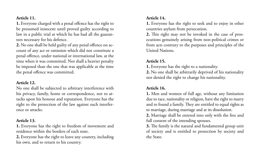## **Article 11.**

**1.** Everyone charged with a penal offence has the right to be presumed innocent until proved guilty according to law in a public trial at which he has had all the guarantees necessary for his defence.

**2.** No one shall be held guilty of any penal offence on account of any act or omission which did not constitute a penal offence, under national or international law, at the time when it was committed. Nor shall a heavier penalty be imposed than the one that was applicable at the time the penal offence was committed.

## **Article 12.**

No one shall be subjected to arbitrary interference with his privacy, family, home or correspondence, nor to attacks upon his honour and reputation. Everyone has the right to the protection of the law against such interference or attacks.

## **Article 13.**

**1.** Everyone has the right to freedom of movement and residence within the borders of each state.

**2.** Everyone has the right to leave any country, including his own, and to return to his country.

## **Article 14.**

**1.** Everyone has the right to seek and to enjoy in other countries asylum from persecution.

**2.** This right may not be invoked in the case of prosecutions genuinely arising from non-political crimes or from acts contrary to the purposes and principles of the United Nations.

## **Article 15.**

**1.** Everyone has the right to a nationality.

**2.** No one shall be arbitrarily deprived of his nationality nor denied the right to change his nationality.

## **Article 16.**

**1.** Men and women of full age, without any limitation due to race, nationality or religion, have the right to marry and to found a family. They are entitled to equal rights as to marriage, during marriage and at its dissolution.

**2.** Marriage shall be entered into only with the free and full consent of the intending spouses.

**3.** The family is the natural and fundamental group unit of society and is entitled to protection by society and the State.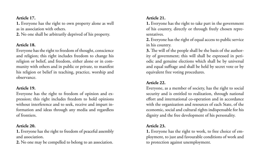## **Article 17.**

**1.** Everyone has the right to own property alone as well as in association with others.

**2.** No one shall be arbitrarily deprived of his property.

## **Article 18.**

Everyone has the right to freedom of thought, conscience and religion; this right includes freedom to change his religion or belief, and freedom, either alone or in community with others and in public or private, to manifest his religion or belief in teaching, practice, worship and observance.

## **Article 19.**

Everyone has the right to freedom of opinion and expression; this right includes freedom to hold opinions without interference and to seek, receive and impart information and ideas through any media and regardless of frontiers.

## **Article 20.**

**1.** Everyone has the right to freedom of peaceful assembly and association.

**2.** No one may be compelled to belong to an association.

## **Article 21.**

**1.** Everyone has the right to take part in the government of his country, directly or through freely chosen representatives.

**2.** Everyone has the right of equal access to public service in his country.

**3.** The will of the people shall be the basis of the authority of government; this will shall be expressed in periodic and genuine elections which shall be by universal and equal suffrage and shall be held by secret vote or by equivalent free voting procedures.

## **Article 22.**

Everyone, as a member of society, has the right to social security and is entitled to realization, through national effort and international co-operation and in accordance with the organization and resources of each State, of the economic, social and cultural rights indispensable for his dignity and the free development of his personality.

## **Article 23.**

**1.** Everyone has the right to work, to free choice of employment, to just and favourable conditions of work and to protection against unemployment.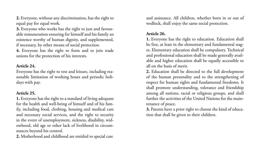**2.** Everyone, without any discrimination, has the right to equal pay for equal work.

**3.** Everyone who works has the right to just and favourable remuneration ensuring for himself and his family an existence worthy of human dignity, and supplemented, if necessary, by other means of social protection.

**4.** Everyone has the right to form and to join trade unions for the protection of his interests.

#### **Article 24.**

Everyone has the right to rest and leisure, including reasonable limitation of working hours and periodic holidays with pay.

## **Article 25.**

**1.** Everyone has the right to a standard of living adequate for the health and well-being of himself and of his family, including food, clothing, housing and medical care and necessary social services, and the right to security in the event of unemployment, sickness, disability, widowhood, old age or other lack of livelihood in circumstances beyond his control.

**2.** Motherhood and childhood are entitled to special care

and assistance. All children, whether born in or out of wedlock, shall enjoy the same social protection.

## **Article 26.**

**1.** Everyone has the right to education. Education shall be free, at least in the elementary and fundamental stages. Elementary education shall be compulsory. Technical and professional education shall be made generally available and higher education shall be equally accessible to all on the basis of merit.

**2.** Education shall be directed to the full development of the human personality and to the strengthening of respect for human rights and fundamental freedoms. It shall promote understanding, tolerance and friendship among all nations, racial or religious groups, and shall further the activities of the United Nations for the maintenance of peace.

**3.** Parents have a prior right to choose the kind of education that shall be given to their children.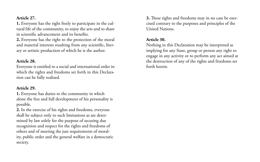### **Article 27.**

**1.** Everyone has the right freely to participate in the cultural life of the community, to enjoy the arts and to share in scientific advancement and its benefits.

**2.** Everyone has the right to the protection of the moral and material interests resulting from any scientific, literary or artistic production of which he is the author.

#### **Article 28.**

Everyone is entitled to a social and international order in which the rights and freedoms set forth in this Declaration can be fully realized.

#### **Article 29.**

**1.** Everyone has duties to the community in which alone the free and full development of his personality is possible.

**2.** In the exercise of his rights and freedoms, everyone shall be subject only to such limitations as are determined by law solely for the purpose of securing due recognition and respect for the rights and freedoms of others and of meeting the just requirements of morality, public order and the general welfare in a democratic society.

**3.** These rights and freedoms may in no case be exercised contrary to the purposes and principles of the United Nations.

## **Article 30.**

Nothing in this Declaration may be interpreted as implying for any State, group or person any right to engage in any activity or to perform any act aimed at the destruction of any of the rights and freedoms set forth herein.